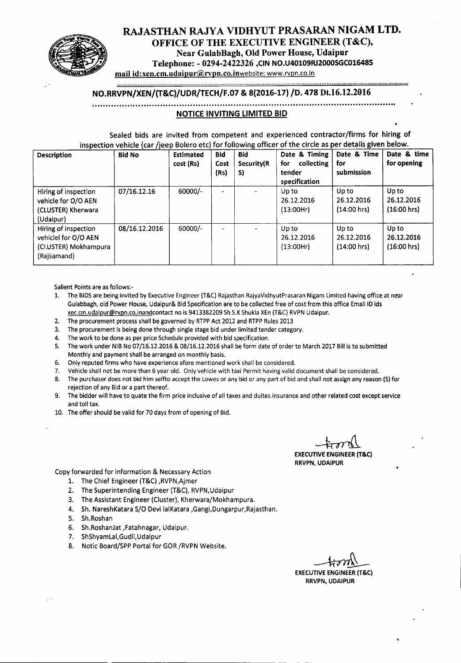

# RAJASTHAN RAJYA VIDHYUT PRASARAN NIGAM LTD. OFFICE OF THE EXECUTIVE ENGINEER (T&C), Near GulabBagh, Old Power House, Udaipur Telephone: - 0294-2422326 ,CIN NO.U40109RJ2000SGC016485

mail id:xen.cm.udaipur@rvpn.co.inwebsite: www.rvpn.co.in

#### ........................................................................................................................................................................... NO.RRVPN/XEN/{T&C)/UDR/TECH/F.07 & 8{2016-17) /0. 478 Dt.16.12.2016

#### **................................................................................................................**

## **NOTICE INVITING LIMITED BID**

Sealed bids are invited from competent and experienced contractor/firms for hiring of inspection vehicle (car /jeep Bolero etc) for following officer of the circle as per details given below.

| <b>Description</b>                                                                   | <b>Bid No</b> | <b>Estimated</b><br>cost (Rs) | <b>Bid</b><br>Cost<br>(Rs) | <b>Bid</b><br>Security(R<br>S) | Date & Timing<br>collecting<br>for<br>tender<br>specification | Date & Time<br>for<br>submission     | Date & time<br>for opening           |
|--------------------------------------------------------------------------------------|---------------|-------------------------------|----------------------------|--------------------------------|---------------------------------------------------------------|--------------------------------------|--------------------------------------|
| Hiring of inspection<br>vehicle for O/O AEN<br>(CLUSTER) Kherwara<br>(Udaipur)       | 07/16.12.16   | 60000/-                       | ۰                          |                                | Up to<br>26.12.2016<br>(13:00Hr)                              | Up to<br>26.12.2016<br>$(14:00$ hrs) | Up to<br>26.12.2016<br>$(16:00$ hrs) |
| Hiring of inspection<br>vehiclel for O/O AEN<br>(CI.USTER) Mokhampura<br>(Rajšamand) | 08/16.12.2016 | 60000/-                       | $\overline{\phantom{0}}$   |                                | Up to<br>26.12.2016<br>(13:00Hr)                              | Up to<br>26.12.2016<br>$(14:00$ hrs) | Up to<br>26.12.2016<br>$(16:00$ hrs) |

Salient Points are as follows:-

- 1. The BIDS are being invited by Executive Engineer (T&C) Rajasthan RajyaVidhyutPrasaran Nigam Limited having office at near Gulabbagh, old Power House, Udaipur& Bid Specification are to be collected free of cost from this office Email ID ids xec.cm.udaipur@rvpn.co.inandcontact no is 9413382209 Sh S.K Shukla XEn (T&C) RVPN Udaipur.
- 2. The procurement process shall be governed by RTPP Act 2012 and RTPP Rules 2013
- 3. The procurement is being done through single stage bid under limited tender category.
- 4. The work to be done as per price Schedule provided with bid specification.
- 5. The work under NIB No 07/16.12.2016 & 08/16.12.2016 shall be form date of order to March 2017 Bill is to submitted Monthly and payment shall be arranged on monthly basis.
- 6. Only reputed firms who have experience afore mentioned work shall be considered.
- 7. Vehicle shall not be more than 6 year old. Only vehicle with taxi Permit having valid document shall be considered.
- 8. The purchaser does not bid him selfto accept the Lowes or any bid or any part of bid and shall not assign any reason (S) for rejection of any Bid or a part thereof.
- 9. The bidder will have to quate the firm price inclusive of all taxes and duites.insurance and other related cost except service and toll tax.
- 10. The offer should be valid for 70 days from of opening of Bid.

~

EXECUTIVE ENGINEER (T&C) **RRVPN, UDAIPUR** 

Copy forwarded for information & Necessary Action

- 1. The Chief Engineer (T&C) ,RVPN,Ajmer
- 2. The Superintending Engineer (T&C), RVPN,Udaipur
- 3. The Assistant Engineer (Cluster), Kherwara/Mokhampura.
- 4. Sh. NareshKatara S/O Devi lalKatara ,Gangi,Dungarpur,Rajasthan.
- 5. Sh.Roshan
- 6. Sh.RoshanJat ,Fatahnagar, Udaipur.
- 7. ShShyamLal,Gudli,Udaipur
- 8. Notic Board/SPP Portal for GOR/RVPN Website.

------------------------ ------------------------------------ -- - -

EXECUTIVE ENGINEER (T&C) RRVPN, UDAIPUR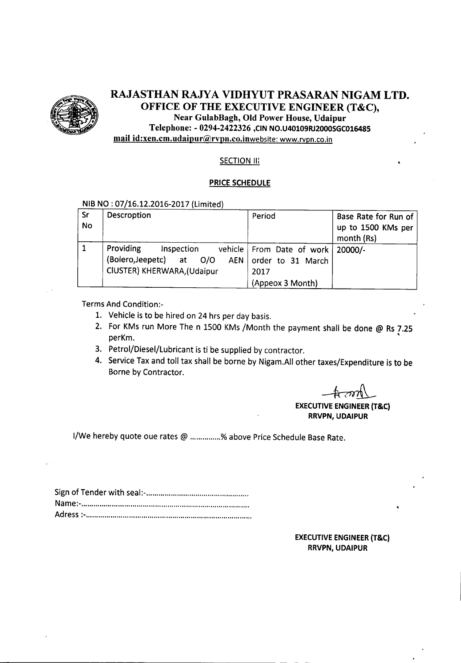

# RAJASTHAN RAJYA VIDHYUT PRASARAN NIGAM LTD. OFFICE OF THE EXECUTIVE ENGINEER (T&C), Near GulabBagh, Old Power House, Udaipur Telephone: - 0294-2422326 ,CIN NO.U40109RJ2000SGC016485

mail id:xen.cm.udaipur@rvpn.co.inwebsite: www.rvpn.co.in

# **SECTION III**

#### PRICE SCHEDULE

## NIB NO :07/16.12.2016-2017 (Limited)

| <b>Sr</b><br><b>No</b> | Descroption                                                                                      | Period                                                                                 | Base Rate for Run of<br>up to 1500 KMs per<br>month (Rs) |
|------------------------|--------------------------------------------------------------------------------------------------|----------------------------------------------------------------------------------------|----------------------------------------------------------|
|                        | Providing<br>Inspection<br>(Bolero,Jeepetc)<br>O/O<br>at<br>AEN  <br>CIUSTER) KHERWARA, (Udaipur | vehicle   From Date of work   20000/-<br>order to 31 March<br>2017<br>(Appeox 3 Month) |                                                          |

Terms And Condition:-

- 1. Vehicle is to be hired on 24 hrs per day basis.
- 2. For KMs run More The n 1500 KMs /Month the payment shall be done @ Rs7.25 • perKm.
- 3. Petrol/Diesel/Lubricant is ti be supplied by contractor.
- 4. Service Taxand toll tax shall be borne by Nigam.AII other taxes/Expenditure is to be Borne by Contractor.

 $+$ om $\perp$ 

# **EXECUTIVE ENGINEER (T&C)** RRVPN, UDAIPUR

I/We hereby quote oue rates @ ..............% above Price Schedule Base Rate.

-------------------------------------------------- - - -

## **EXECUTIVE ENGINEER (T&C)** RRVPN, UDAIPUR